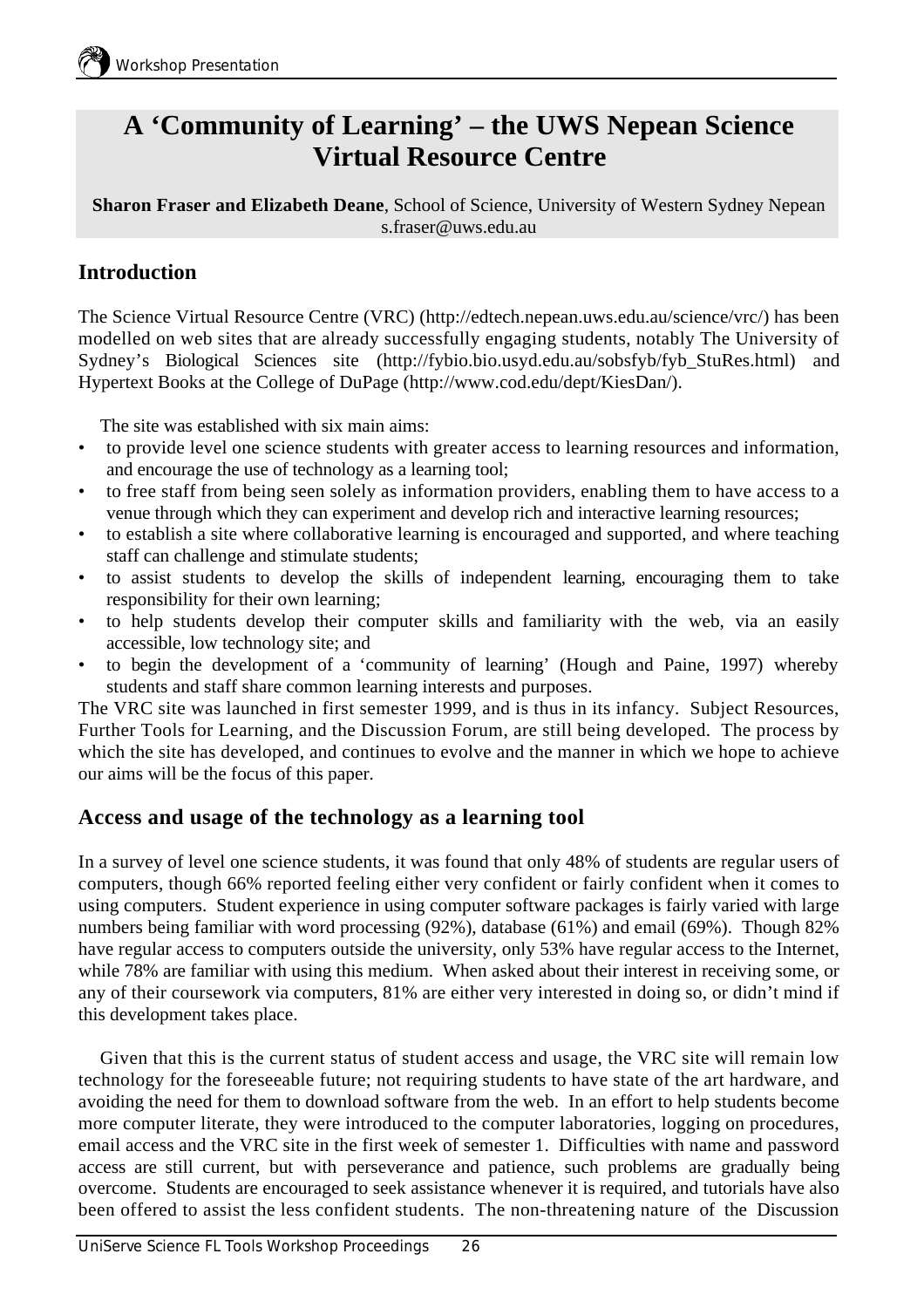# **A 'Community of Learning' – the UWS Nepean Science Virtual Resource Centre**

**Sharon Fraser and Elizabeth Deane**, School of Science, University of Western Sydney Nepean s.fraser@uws.edu.au

### **Introduction**

The Science Virtual Resource Centre (VRC) (http://edtech.nepean.uws.edu.au/science/vrc/) has been modelled on web sites that are already successfully engaging students, notably The University of Sydney's Biological Sciences site (http://fybio.bio.usyd.edu.au/sobsfyb/fyb\_StuRes.html) and Hypertext Books at the College of DuPage (http://www.cod.edu/dept/KiesDan/).

The site was established with six main aims:

- to provide level one science students with greater access to learning resources and information, and encourage the use of technology as a learning tool;
- to free staff from being seen solely as information providers, enabling them to have access to a venue through which they can experiment and develop rich and interactive learning resources;
- to establish a site where collaborative learning is encouraged and supported, and where teaching staff can challenge and stimulate students;
- to assist students to develop the skills of independent learning, encouraging them to take responsibility for their own learning;
- to help students develop their computer skills and familiarity with the web, via an easily accessible, low technology site; and
- to begin the development of a 'community of learning' (Hough and Paine, 1997) whereby students and staff share common learning interests and purposes.

The VRC site was launched in first semester 1999, and is thus in its infancy. Subject Resources, Further Tools for Learning, and the Discussion Forum, are still being developed. The process by which the site has developed, and continues to evolve and the manner in which we hope to achieve our aims will be the focus of this paper.

#### **Access and usage of the technology as a learning tool**

In a survey of level one science students, it was found that only 48% of students are regular users of computers, though 66% reported feeling either very confident or fairly confident when it comes to using computers. Student experience in using computer software packages is fairly varied with large numbers being familiar with word processing (92%), database (61%) and email (69%). Though 82% have regular access to computers outside the university, only 53% have regular access to the Internet, while 78% are familiar with using this medium. When asked about their interest in receiving some, or any of their coursework via computers, 81% are either very interested in doing so, or didn't mind if this development takes place.

Given that this is the current status of student access and usage, the VRC site will remain low technology for the foreseeable future; not requiring students to have state of the art hardware, and avoiding the need for them to download software from the web. In an effort to help students become more computer literate, they were introduced to the computer laboratories, logging on procedures, email access and the VRC site in the first week of semester 1. Difficulties with name and password access are still current, but with perseverance and patience, such problems are gradually being overcome. Students are encouraged to seek assistance whenever it is required, and tutorials have also been offered to assist the less confident students. The non-threatening nature of the Discussion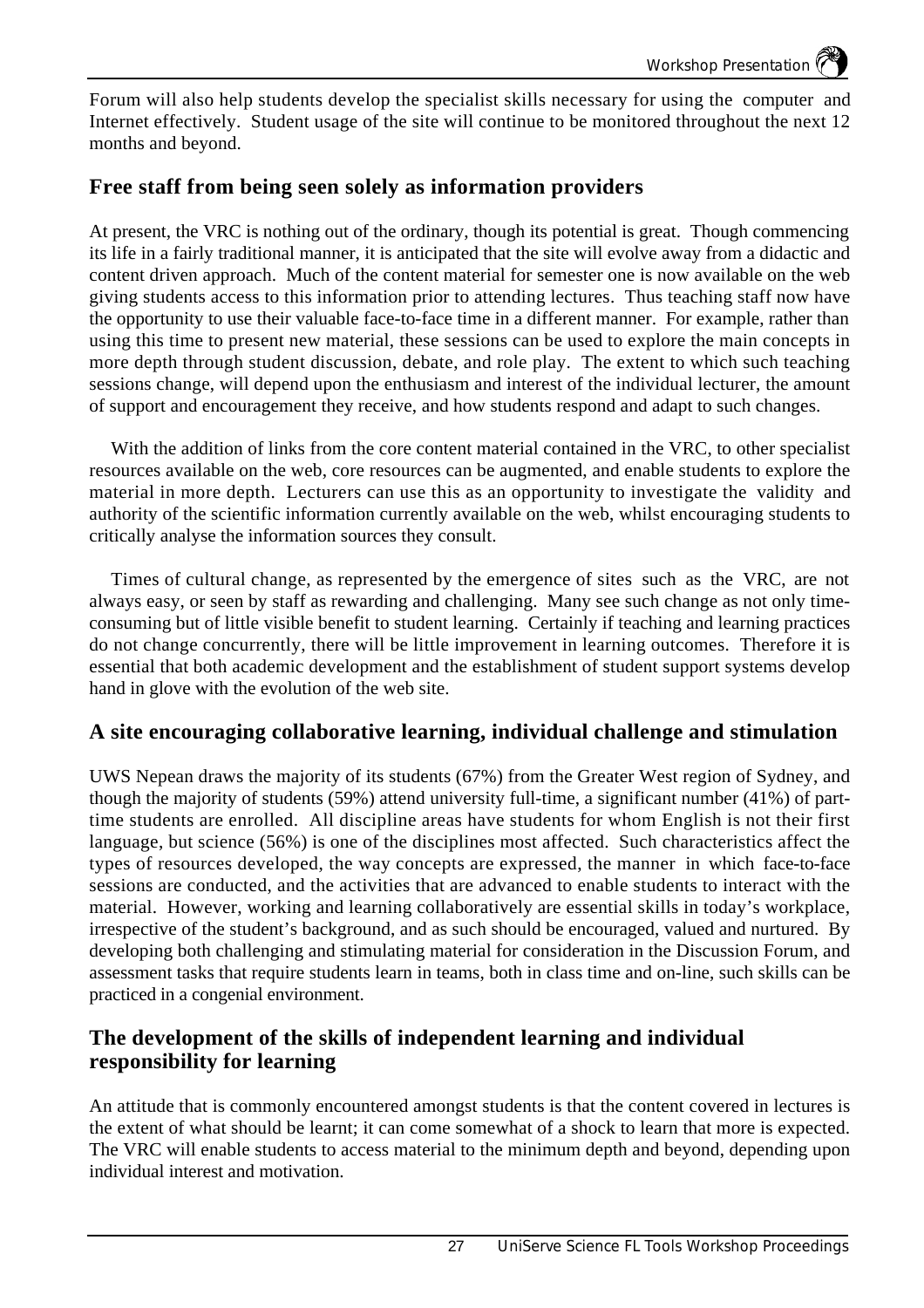Forum will also help students develop the specialist skills necessary for using the computer and Internet effectively. Student usage of the site will continue to be monitored throughout the next 12 months and beyond.

#### **Free staff from being seen solely as information providers**

At present, the VRC is nothing out of the ordinary, though its potential is great. Though commencing its life in a fairly traditional manner, it is anticipated that the site will evolve away from a didactic and content driven approach. Much of the content material for semester one is now available on the web giving students access to this information prior to attending lectures. Thus teaching staff now have the opportunity to use their valuable face-to-face time in a different manner. For example, rather than using this time to present new material, these sessions can be used to explore the main concepts in more depth through student discussion, debate, and role play. The extent to which such teaching sessions change, will depend upon the enthusiasm and interest of the individual lecturer, the amount of support and encouragement they receive, and how students respond and adapt to such changes.

With the addition of links from the core content material contained in the VRC, to other specialist resources available on the web, core resources can be augmented, and enable students to explore the material in more depth. Lecturers can use this as an opportunity to investigate the validity and authority of the scientific information currently available on the web, whilst encouraging students to critically analyse the information sources they consult.

Times of cultural change, as represented by the emergence of sites such as the VRC, are not always easy, or seen by staff as rewarding and challenging. Many see such change as not only timeconsuming but of little visible benefit to student learning. Certainly if teaching and learning practices do not change concurrently, there will be little improvement in learning outcomes. Therefore it is essential that both academic development and the establishment of student support systems develop hand in glove with the evolution of the web site.

#### **A site encouraging collaborative learning, individual challenge and stimulation**

UWS Nepean draws the majority of its students (67%) from the Greater West region of Sydney, and though the majority of students (59%) attend university full-time, a significant number (41%) of parttime students are enrolled. All discipline areas have students for whom English is not their first language, but science (56%) is one of the disciplines most affected. Such characteristics affect the types of resources developed, the way concepts are expressed, the manner in which face-to-face sessions are conducted, and the activities that are advanced to enable students to interact with the material. However, working and learning collaboratively are essential skills in today's workplace, irrespective of the student's background, and as such should be encouraged, valued and nurtured. By developing both challenging and stimulating material for consideration in the Discussion Forum, and assessment tasks that require students learn in teams, both in class time and on-line, such skills can be practiced in a congenial environment.

#### **The development of the skills of independent learning and individual responsibility for learning**

An attitude that is commonly encountered amongst students is that the content covered in lectures is the extent of what should be learnt; it can come somewhat of a shock to learn that more is expected. The VRC will enable students to access material to the minimum depth and beyond, depending upon individual interest and motivation.